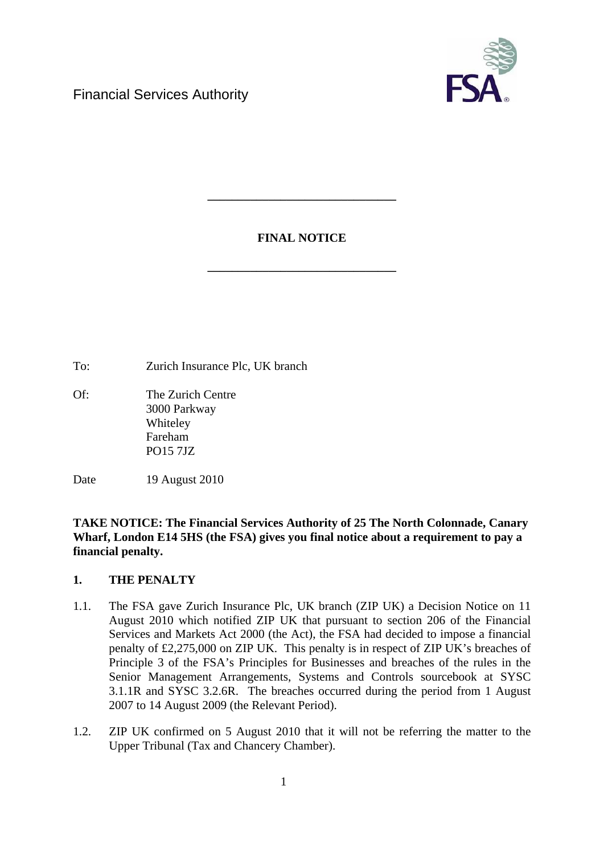

# **FINAL NOTICE**

**\_\_\_\_\_\_\_\_\_\_\_\_\_\_\_\_\_\_\_\_\_\_\_\_\_\_\_\_\_\_\_** 

**\_\_\_\_\_\_\_\_\_\_\_\_\_\_\_\_\_\_\_\_\_\_\_\_\_\_\_\_\_\_\_** 

To: Zurich Insurance Plc, UK branch

Of: The Zurich Centre 3000 Parkway Whiteley Fareham PO15 7JZ

Date 19 August 2010

**TAKE NOTICE: The Financial Services Authority of 25 The North Colonnade, Canary Wharf, London E14 5HS (the FSA) gives you final notice about a requirement to pay a financial penalty.** 

# **1. THE PENALTY**

- 1.1. The FSA gave Zurich Insurance Plc, UK branch (ZIP UK) a Decision Notice on 11 August 2010 which notified ZIP UK that pursuant to section 206 of the Financial Services and Markets Act 2000 (the Act), the FSA had decided to impose a financial penalty of £2,275,000 on ZIP UK. This penalty is in respect of ZIP UK's breaches of Principle 3 of the FSA's Principles for Businesses and breaches of the rules in the Senior Management Arrangements, Systems and Controls sourcebook at SYSC 3.1.1R and SYSC 3.2.6R. The breaches occurred during the period from 1 August 2007 to 14 August 2009 (the Relevant Period).
- 1.2. ZIP UK confirmed on 5 August 2010 that it will not be referring the matter to the Upper Tribunal (Tax and Chancery Chamber).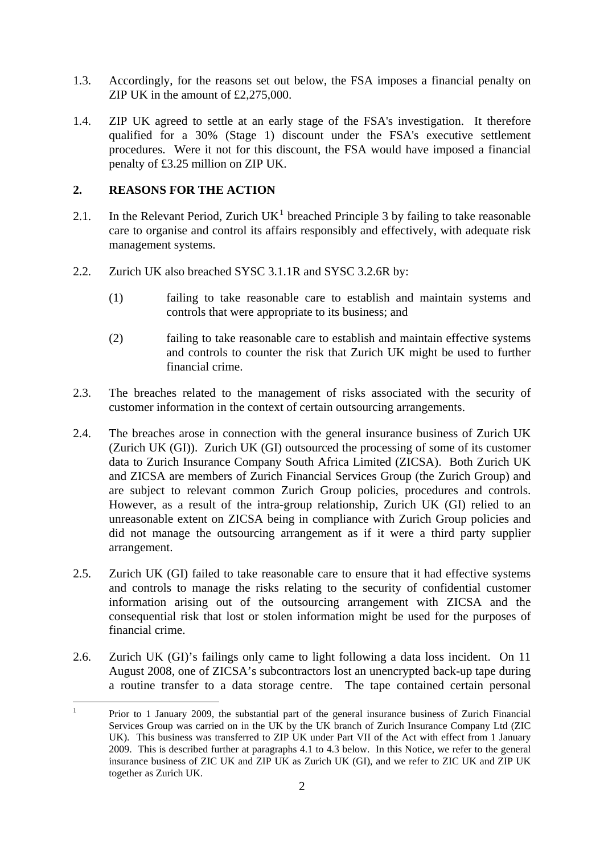- 1.3. Accordingly, for the reasons set out below, the FSA imposes a financial penalty on ZIP UK in the amount of £2,275,000.
- 1.4. ZIP UK agreed to settle at an early stage of the FSA's investigation. It therefore qualified for a 30% (Stage 1) discount under the FSA's executive settlement procedures. Were it not for this discount, the FSA would have imposed a financial penalty of £3.25 million on ZIP UK.

## **2. REASONS FOR THE ACTION**

- 2.[1](#page-1-0). In the Relevant Period, Zurich  $UK<sup>1</sup>$  breached Principle 3 by failing to take reasonable care to organise and control its affairs responsibly and effectively, with adequate risk management systems.
- 2.2. Zurich UK also breached SYSC 3.1.1R and SYSC 3.2.6R by:
	- (1) failing to take reasonable care to establish and maintain systems and controls that were appropriate to its business; and
	- (2) failing to take reasonable care to establish and maintain effective systems and controls to counter the risk that Zurich UK might be used to further financial crime.
- 2.3. The breaches related to the management of risks associated with the security of customer information in the context of certain outsourcing arrangements.
- 2.4. The breaches arose in connection with the general insurance business of Zurich UK (Zurich UK (GI)). Zurich UK (GI) outsourced the processing of some of its customer data to Zurich Insurance Company South Africa Limited (ZICSA). Both Zurich UK and ZICSA are members of Zurich Financial Services Group (the Zurich Group) and are subject to relevant common Zurich Group policies, procedures and controls. However, as a result of the intra-group relationship, Zurich UK (GI) relied to an unreasonable extent on ZICSA being in compliance with Zurich Group policies and did not manage the outsourcing arrangement as if it were a third party supplier arrangement.
- 2.5. Zurich UK (GI) failed to take reasonable care to ensure that it had effective systems and controls to manage the risks relating to the security of confidential customer information arising out of the outsourcing arrangement with ZICSA and the consequential risk that lost or stolen information might be used for the purposes of financial crime.
- 2.6. Zurich UK (GI)'s failings only came to light following a data loss incident. On 11 August 2008, one of ZICSA's subcontractors lost an unencrypted back-up tape during a routine transfer to a data storage centre. The tape contained certain personal

<span id="page-1-0"></span> $\frac{1}{1}$  Prior to 1 January 2009, the substantial part of the general insurance business of Zurich Financial Services Group was carried on in the UK by the UK branch of Zurich Insurance Company Ltd (ZIC UK). This business was transferred to ZIP UK under Part VII of the Act with effect from 1 January 2009. This is described further at paragraphs 4.1 to 4.3 below. In this Notice, we refer to the general insurance business of ZIC UK and ZIP UK as Zurich UK (GI), and we refer to ZIC UK and ZIP UK together as Zurich UK.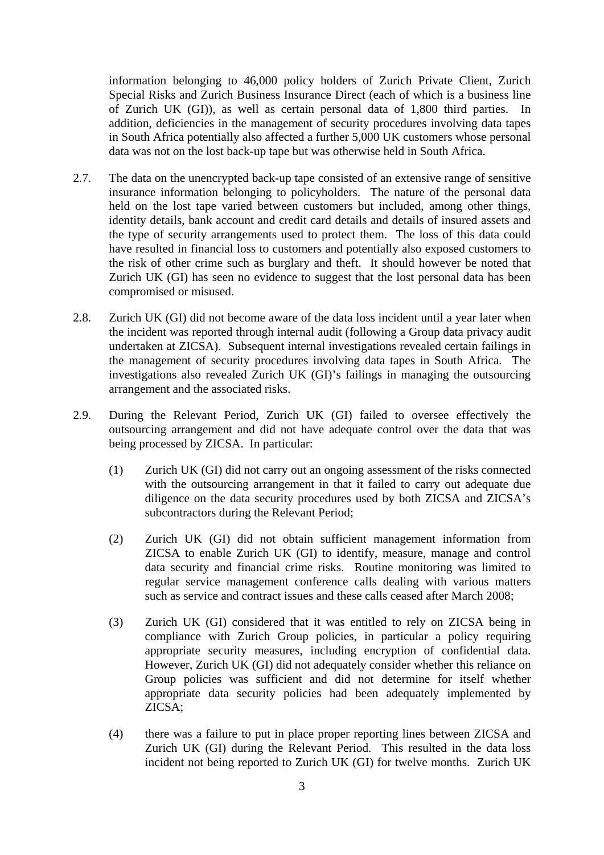information belonging to 46,000 policy holders of Zurich Private Client, Zurich Special Risks and Zurich Business Insurance Direct (each of which is a business line of Zurich UK (GI)), as well as certain personal data of 1,800 third parties. In addition, deficiencies in the management of security procedures involving data tapes in South Africa potentially also affected a further 5,000 UK customers whose personal data was not on the lost back-up tape but was otherwise held in South Africa.

- 2.7. The data on the unencrypted back-up tape consisted of an extensive range of sensitive insurance information belonging to policyholders. The nature of the personal data held on the lost tape varied between customers but included, among other things, identity details, bank account and credit card details and details of insured assets and the type of security arrangements used to protect them. The loss of this data could have resulted in financial loss to customers and potentially also exposed customers to the risk of other crime such as burglary and theft. It should however be noted that Zurich UK (GI) has seen no evidence to suggest that the lost personal data has been compromised or misused.
- 2.8. Zurich UK (GI) did not become aware of the data loss incident until a year later when the incident was reported through internal audit (following a Group data privacy audit undertaken at ZICSA). Subsequent internal investigations revealed certain failings in the management of security procedures involving data tapes in South Africa. The investigations also revealed Zurich UK (GI)'s failings in managing the outsourcing arrangement and the associated risks.
- <span id="page-2-0"></span>2.9. During the Relevant Period, Zurich UK (GI) failed to oversee effectively the outsourcing arrangement and did not have adequate control over the data that was being processed by ZICSA. In particular:
	- (1) Zurich UK (GI) did not carry out an ongoing assessment of the risks connected with the outsourcing arrangement in that it failed to carry out adequate due diligence on the data security procedures used by both ZICSA and ZICSA's subcontractors during the Relevant Period;
	- (2) Zurich UK (GI) did not obtain sufficient management information from ZICSA to enable Zurich UK (GI) to identify, measure, manage and control data security and financial crime risks. Routine monitoring was limited to regular service management conference calls dealing with various matters such as service and contract issues and these calls ceased after March 2008;
	- (3) Zurich UK (GI) considered that it was entitled to rely on ZICSA being in compliance with Zurich Group policies, in particular a policy requiring appropriate security measures, including encryption of confidential data. However, Zurich UK (GI) did not adequately consider whether this reliance on Group policies was sufficient and did not determine for itself whether appropriate data security policies had been adequately implemented by ZICSA;
	- (4) there was a failure to put in place proper reporting lines between ZICSA and Zurich UK (GI) during the Relevant Period. This resulted in the data loss incident not being reported to Zurich UK (GI) for twelve months. Zurich UK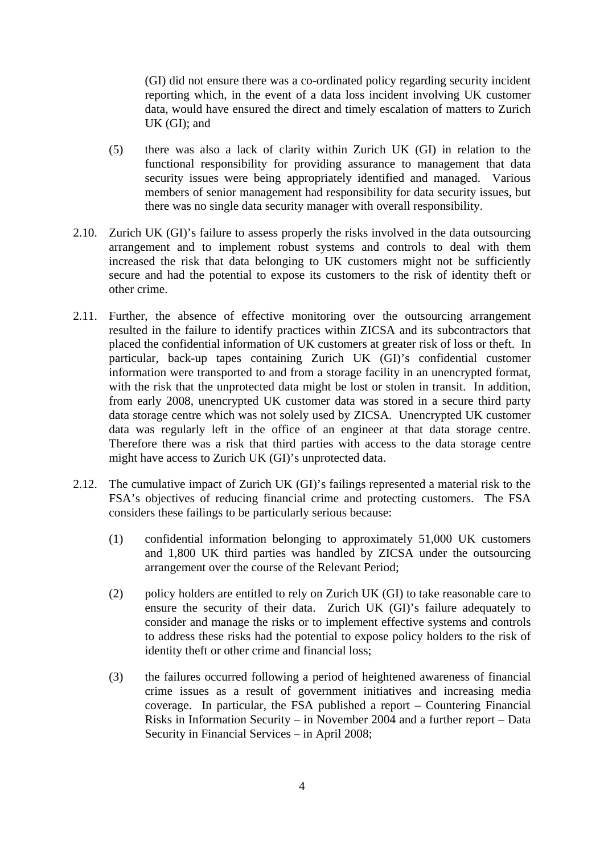(GI) did not ensure there was a co-ordinated policy regarding security incident reporting which, in the event of a data loss incident involving UK customer data, would have ensured the direct and timely escalation of matters to Zurich UK (GI); and

- (5) there was also a lack of clarity within Zurich UK (GI) in relation to the functional responsibility for providing assurance to management that data security issues were being appropriately identified and managed. Various members of senior management had responsibility for data security issues, but there was no single data security manager with overall responsibility.
- 2.10. Zurich UK (GI)'s failure to assess properly the risks involved in the data outsourcing arrangement and to implement robust systems and controls to deal with them increased the risk that data belonging to UK customers might not be sufficiently secure and had the potential to expose its customers to the risk of identity theft or other crime.
- 2.11. Further, the absence of effective monitoring over the outsourcing arrangement resulted in the failure to identify practices within ZICSA and its subcontractors that placed the confidential information of UK customers at greater risk of loss or theft. In particular, back-up tapes containing Zurich UK (GI)'s confidential customer information were transported to and from a storage facility in an unencrypted format, with the risk that the unprotected data might be lost or stolen in transit. In addition, from early 2008, unencrypted UK customer data was stored in a secure third party data storage centre which was not solely used by ZICSA. Unencrypted UK customer data was regularly left in the office of an engineer at that data storage centre. Therefore there was a risk that third parties with access to the data storage centre might have access to Zurich UK (GI)'s unprotected data.
- 2.12. The cumulative impact of Zurich UK (GI)'s failings represented a material risk to the FSA's objectives of reducing financial crime and protecting customers. The FSA considers these failings to be particularly serious because:
	- (1) confidential information belonging to approximately 51,000 UK customers and 1,800 UK third parties was handled by ZICSA under the outsourcing arrangement over the course of the Relevant Period;
	- (2) policy holders are entitled to rely on Zurich UK (GI) to take reasonable care to ensure the security of their data. Zurich UK (GI)'s failure adequately to consider and manage the risks or to implement effective systems and controls to address these risks had the potential to expose policy holders to the risk of identity theft or other crime and financial loss;
	- (3) the failures occurred following a period of heightened awareness of financial crime issues as a result of government initiatives and increasing media coverage. In particular, the FSA published a report – Countering Financial Risks in Information Security – in November 2004 and a further report – Data Security in Financial Services – in April 2008;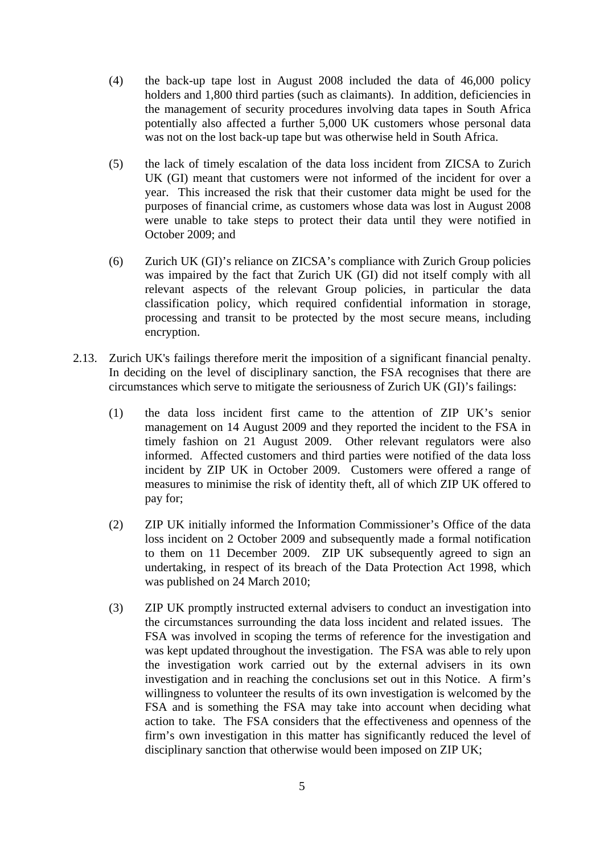- (4) the back-up tape lost in August 2008 included the data of 46,000 policy holders and 1,800 third parties (such as claimants). In addition, deficiencies in the management of security procedures involving data tapes in South Africa potentially also affected a further 5,000 UK customers whose personal data was not on the lost back-up tape but was otherwise held in South Africa.
- (5) the lack of timely escalation of the data loss incident from ZICSA to Zurich UK (GI) meant that customers were not informed of the incident for over a year. This increased the risk that their customer data might be used for the purposes of financial crime, as customers whose data was lost in August 2008 were unable to take steps to protect their data until they were notified in October 2009; and
- (6) Zurich UK (GI)'s reliance on ZICSA's compliance with Zurich Group policies was impaired by the fact that Zurich UK (GI) did not itself comply with all relevant aspects of the relevant Group policies, in particular the data classification policy, which required confidential information in storage, processing and transit to be protected by the most secure means, including encryption.
- 2.13. Zurich UK's failings therefore merit the imposition of a significant financial penalty. In deciding on the level of disciplinary sanction, the FSA recognises that there are circumstances which serve to mitigate the seriousness of Zurich UK (GI)'s failings:
	- (1) the data loss incident first came to the attention of ZIP UK's senior management on 14 August 2009 and they reported the incident to the FSA in timely fashion on 21 August 2009. Other relevant regulators were also informed. Affected customers and third parties were notified of the data loss incident by ZIP UK in October 2009. Customers were offered a range of measures to minimise the risk of identity theft, all of which ZIP UK offered to pay for;
	- (2) ZIP UK initially informed the Information Commissioner's Office of the data loss incident on 2 October 2009 and subsequently made a formal notification to them on 11 December 2009. ZIP UK subsequently agreed to sign an undertaking, in respect of its breach of the Data Protection Act 1998, which was published on 24 March 2010;
	- (3) ZIP UK promptly instructed external advisers to conduct an investigation into the circumstances surrounding the data loss incident and related issues. The FSA was involved in scoping the terms of reference for the investigation and was kept updated throughout the investigation. The FSA was able to rely upon the investigation work carried out by the external advisers in its own investigation and in reaching the conclusions set out in this Notice. A firm's willingness to volunteer the results of its own investigation is welcomed by the FSA and is something the FSA may take into account when deciding what action to take. The FSA considers that the effectiveness and openness of the firm's own investigation in this matter has significantly reduced the level of disciplinary sanction that otherwise would been imposed on ZIP UK;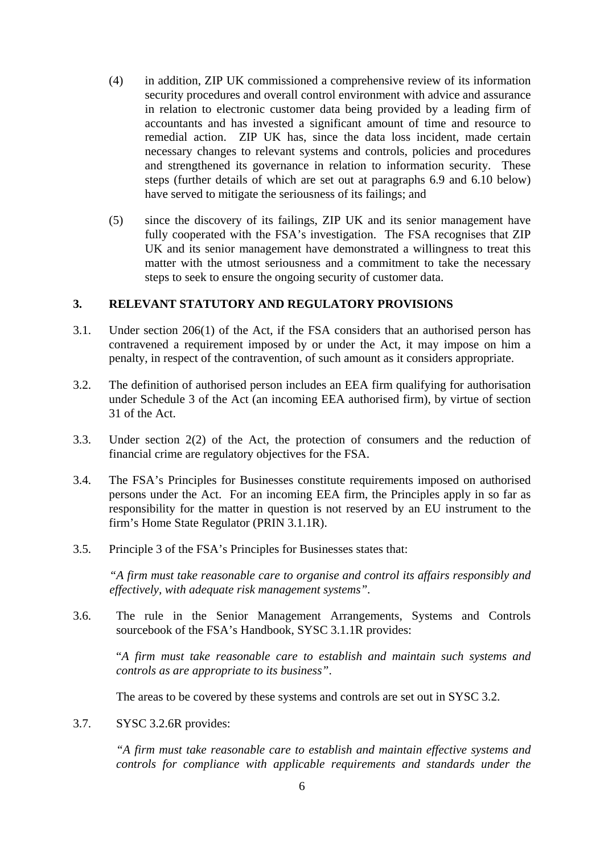- (4) in addition, ZIP UK commissioned a comprehensive review of its information security procedures and overall control environment with advice and assurance in relation to electronic customer data being provided by a leading firm of accountants and has invested a significant amount of time and resource to remedial action. ZIP UK has, since the data loss incident, made certain necessary changes to relevant systems and controls, policies and procedures and strengthened its governance in relation to information security. These steps (further details of which are set out at paragraphs [6.9](#page-16-0) and [6.10](#page-17-0) below) have served to mitigate the seriousness of its failings; and
- (5) since the discovery of its failings, ZIP UK and its senior management have fully cooperated with the FSA's investigation. The FSA recognises that ZIP UK and its senior management have demonstrated a willingness to treat this matter with the utmost seriousness and a commitment to take the necessary steps to seek to ensure the ongoing security of customer data.

## **3. RELEVANT STATUTORY AND REGULATORY PROVISIONS**

- 3.1. Under section 206(1) of the Act, if the FSA considers that an authorised person has contravened a requirement imposed by or under the Act, it may impose on him a penalty, in respect of the contravention, of such amount as it considers appropriate.
- 3.2. The definition of authorised person includes an EEA firm qualifying for authorisation under Schedule 3 of the Act (an incoming EEA authorised firm), by virtue of section 31 of the Act.
- 3.3. Under section 2(2) of the Act, the protection of consumers and the reduction of financial crime are regulatory objectives for the FSA.
- 3.4. The FSA's Principles for Businesses constitute requirements imposed on authorised persons under the Act. For an incoming EEA firm, the Principles apply in so far as responsibility for the matter in question is not reserved by an EU instrument to the firm's Home State Regulator (PRIN 3.1.1R).
- 3.5. Principle 3 of the FSA's Principles for Businesses states that:

*"A firm must take reasonable care to organise and control its affairs responsibly and effectively, with adequate risk management systems".* 

3.6. The rule in the Senior Management Arrangements, Systems and Controls sourcebook of the FSA's Handbook, SYSC 3.1.1R provides:

"*A firm must take reasonable care to establish and maintain such systems and controls as are appropriate to its business"*.

The areas to be covered by these systems and controls are set out in SYSC 3.2.

3.7. SYSC 3.2.6R provides:

*"A firm must take reasonable care to establish and maintain effective systems and controls for compliance with applicable requirements and standards under the*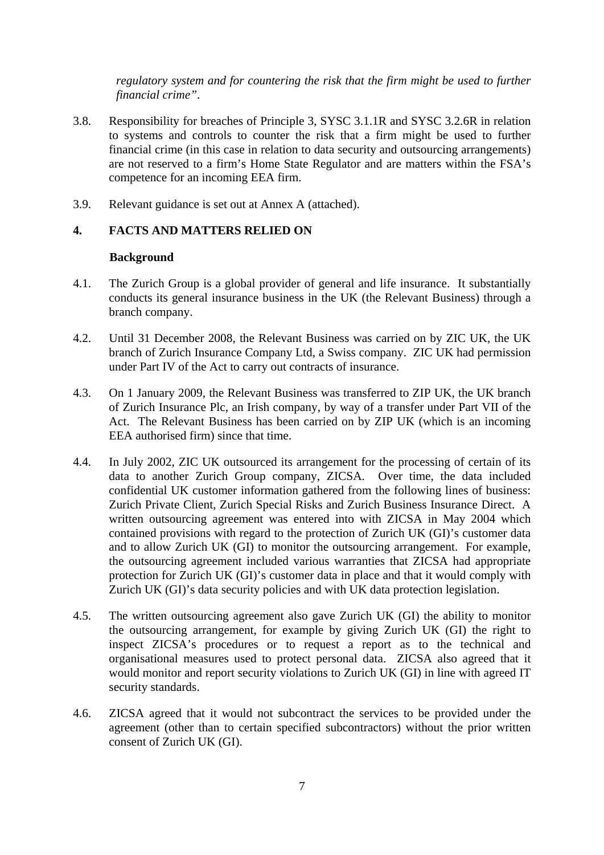*regulatory system and for countering the risk that the firm might be used to further financial crime"*.

- 3.8. Responsibility for breaches of Principle 3, SYSC 3.1.1R and SYSC 3.2.6R in relation to systems and controls to counter the risk that a firm might be used to further financial crime (in this case in relation to data security and outsourcing arrangements) are not reserved to a firm's Home State Regulator and are matters within the FSA's competence for an incoming EEA firm.
- 3.9. Relevant guidance is set out at Annex A (attached).

## **4. FACTS AND MATTERS RELIED ON**

#### **Background**

- 4.1. The Zurich Group is a global provider of general and life insurance. It substantially conducts its general insurance business in the UK (the Relevant Business) through a branch company.
- 4.2. Until 31 December 2008, the Relevant Business was carried on by ZIC UK, the UK branch of Zurich Insurance Company Ltd, a Swiss company. ZIC UK had permission under Part IV of the Act to carry out contracts of insurance.
- 4.3. On 1 January 2009, the Relevant Business was transferred to ZIP UK, the UK branch of Zurich Insurance Plc, an Irish company, by way of a transfer under Part VII of the Act. The Relevant Business has been carried on by ZIP UK (which is an incoming EEA authorised firm) since that time.
- 4.4. In July 2002, ZIC UK outsourced its arrangement for the processing of certain of its data to another Zurich Group company, ZICSA. Over time, the data included confidential UK customer information gathered from the following lines of business: Zurich Private Client, Zurich Special Risks and Zurich Business Insurance Direct. A written outsourcing agreement was entered into with ZICSA in May 2004 which contained provisions with regard to the protection of Zurich UK (GI)'s customer data and to allow Zurich UK (GI) to monitor the outsourcing arrangement. For example, the outsourcing agreement included various warranties that ZICSA had appropriate protection for Zurich UK (GI)'s customer data in place and that it would comply with Zurich UK (GI)'s data security policies and with UK data protection legislation.
- 4.5. The written outsourcing agreement also gave Zurich UK (GI) the ability to monitor the outsourcing arrangement, for example by giving Zurich UK (GI) the right to inspect ZICSA's procedures or to request a report as to the technical and organisational measures used to protect personal data. ZICSA also agreed that it would monitor and report security violations to Zurich UK (GI) in line with agreed IT security standards.
- 4.6. ZICSA agreed that it would not subcontract the services to be provided under the agreement (other than to certain specified subcontractors) without the prior written consent of Zurich UK (GI).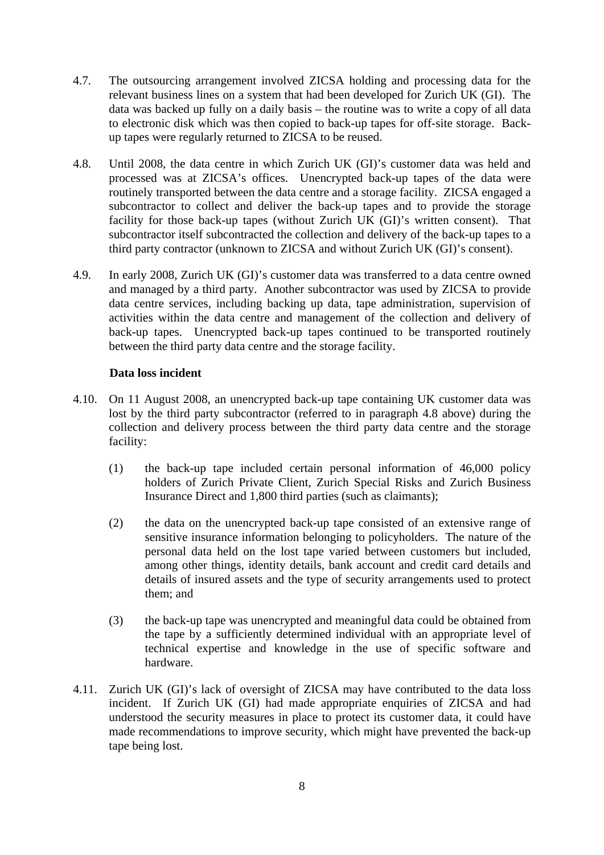- 4.7. The outsourcing arrangement involved ZICSA holding and processing data for the relevant business lines on a system that had been developed for Zurich UK (GI). The data was backed up fully on a daily basis – the routine was to write a copy of all data to electronic disk which was then copied to back-up tapes for off-site storage. Backup tapes were regularly returned to ZICSA to be reused.
- <span id="page-7-0"></span>4.8. Until 2008, the data centre in which Zurich UK (GI)'s customer data was held and processed was at ZICSA's offices. Unencrypted back-up tapes of the data were routinely transported between the data centre and a storage facility. ZICSA engaged a subcontractor to collect and deliver the back-up tapes and to provide the storage facility for those back-up tapes (without Zurich UK (GI)'s written consent). That subcontractor itself subcontracted the collection and delivery of the back-up tapes to a third party contractor (unknown to ZICSA and without Zurich UK (GI)'s consent).
- 4.9. In early 2008, Zurich UK (GI)'s customer data was transferred to a data centre owned and managed by a third party. Another subcontractor was used by ZICSA to provide data centre services, including backing up data, tape administration, supervision of activities within the data centre and management of the collection and delivery of back-up tapes. Unencrypted back-up tapes continued to be transported routinely between the third party data centre and the storage facility.

## **Data loss incident**

- 4.10. On 11 August 2008, an unencrypted back-up tape containing UK customer data was lost by the third party subcontractor (referred to in paragraph [4.8](#page-7-0) above) during the collection and delivery process between the third party data centre and the storage facility:
	- (1) the back-up tape included certain personal information of 46,000 policy holders of Zurich Private Client, Zurich Special Risks and Zurich Business Insurance Direct and 1,800 third parties (such as claimants);
	- (2) the data on the unencrypted back-up tape consisted of an extensive range of sensitive insurance information belonging to policyholders. The nature of the personal data held on the lost tape varied between customers but included, among other things, identity details, bank account and credit card details and details of insured assets and the type of security arrangements used to protect them; and
	- (3) the back-up tape was unencrypted and meaningful data could be obtained from the tape by a sufficiently determined individual with an appropriate level of technical expertise and knowledge in the use of specific software and hardware.
- 4.11. Zurich UK (GI)'s lack of oversight of ZICSA may have contributed to the data loss incident. If Zurich UK (GI) had made appropriate enquiries of ZICSA and had understood the security measures in place to protect its customer data, it could have made recommendations to improve security, which might have prevented the back-up tape being lost.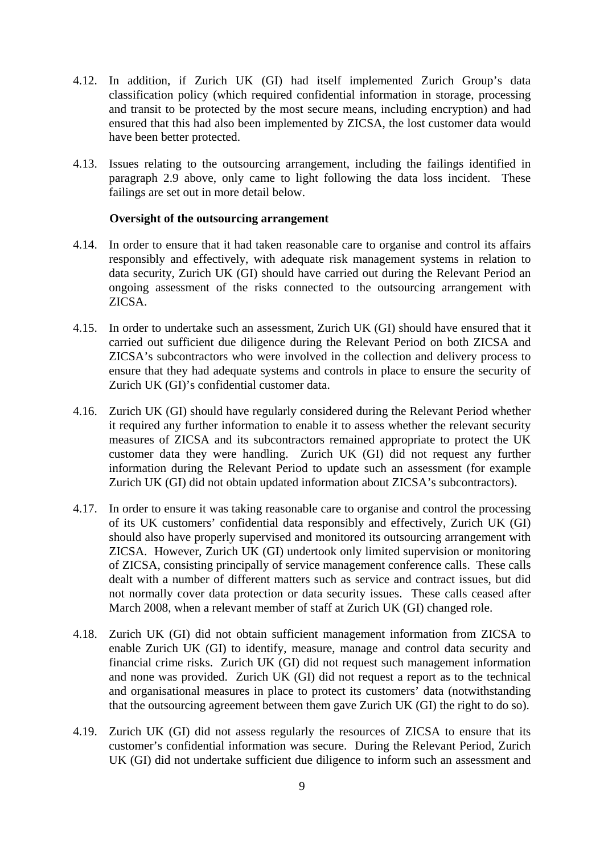- 4.12. In addition, if Zurich UK (GI) had itself implemented Zurich Group's data classification policy (which required confidential information in storage, processing and transit to be protected by the most secure means, including encryption) and had ensured that this had also been implemented by ZICSA, the lost customer data would have been better protected.
- 4.13. Issues relating to the outsourcing arrangement, including the failings identified in paragraph [2.9](#page-2-0) above, only came to light following the data loss incident. These failings are set out in more detail below.

#### **Oversight of the outsourcing arrangement**

- 4.14. In order to ensure that it had taken reasonable care to organise and control its affairs responsibly and effectively, with adequate risk management systems in relation to data security, Zurich UK (GI) should have carried out during the Relevant Period an ongoing assessment of the risks connected to the outsourcing arrangement with ZICSA.
- 4.15. In order to undertake such an assessment, Zurich UK (GI) should have ensured that it carried out sufficient due diligence during the Relevant Period on both ZICSA and ZICSA's subcontractors who were involved in the collection and delivery process to ensure that they had adequate systems and controls in place to ensure the security of Zurich UK (GI)'s confidential customer data.
- 4.16. Zurich UK (GI) should have regularly considered during the Relevant Period whether it required any further information to enable it to assess whether the relevant security measures of ZICSA and its subcontractors remained appropriate to protect the UK customer data they were handling. Zurich UK (GI) did not request any further information during the Relevant Period to update such an assessment (for example Zurich UK (GI) did not obtain updated information about ZICSA's subcontractors).
- 4.17. In order to ensure it was taking reasonable care to organise and control the processing of its UK customers' confidential data responsibly and effectively, Zurich UK (GI) should also have properly supervised and monitored its outsourcing arrangement with ZICSA. However, Zurich UK (GI) undertook only limited supervision or monitoring of ZICSA, consisting principally of service management conference calls. These calls dealt with a number of different matters such as service and contract issues, but did not normally cover data protection or data security issues. These calls ceased after March 2008, when a relevant member of staff at Zurich UK (GI) changed role.
- 4.18. Zurich UK (GI) did not obtain sufficient management information from ZICSA to enable Zurich UK (GI) to identify, measure, manage and control data security and financial crime risks. Zurich UK (GI) did not request such management information and none was provided. Zurich UK (GI) did not request a report as to the technical and organisational measures in place to protect its customers' data (notwithstanding that the outsourcing agreement between them gave Zurich UK (GI) the right to do so).
- 4.19. Zurich UK (GI) did not assess regularly the resources of ZICSA to ensure that its customer's confidential information was secure. During the Relevant Period, Zurich UK (GI) did not undertake sufficient due diligence to inform such an assessment and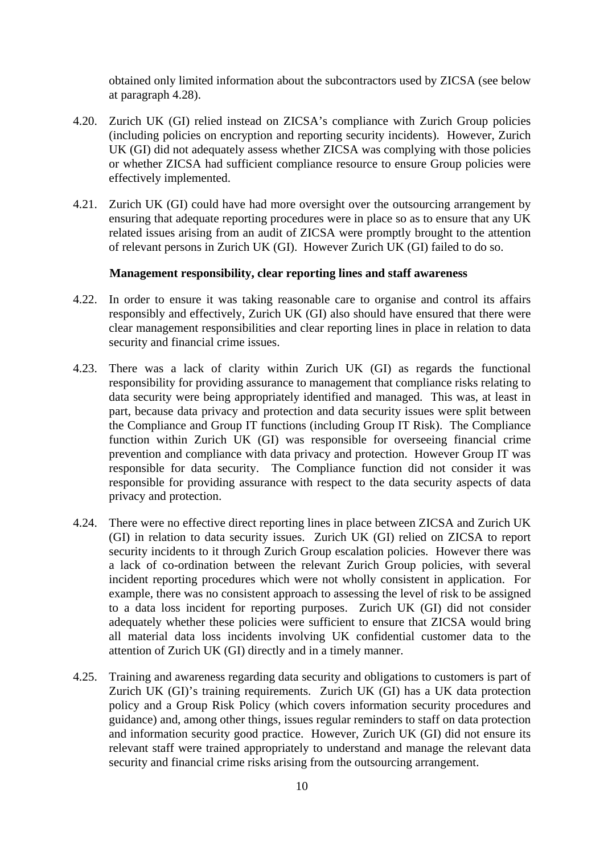obtained only limited information about the subcontractors used by ZICSA (see below at paragraph 4.28).

- 4.20. Zurich UK (GI) relied instead on ZICSA's compliance with Zurich Group policies (including policies on encryption and reporting security incidents). However, Zurich UK (GI) did not adequately assess whether ZICSA was complying with those policies or whether ZICSA had sufficient compliance resource to ensure Group policies were effectively implemented.
- 4.21. Zurich UK (GI) could have had more oversight over the outsourcing arrangement by ensuring that adequate reporting procedures were in place so as to ensure that any UK related issues arising from an audit of ZICSA were promptly brought to the attention of relevant persons in Zurich UK (GI). However Zurich UK (GI) failed to do so.

#### **Management responsibility, clear reporting lines and staff awareness**

- 4.22. In order to ensure it was taking reasonable care to organise and control its affairs responsibly and effectively, Zurich UK (GI) also should have ensured that there were clear management responsibilities and clear reporting lines in place in relation to data security and financial crime issues.
- 4.23. There was a lack of clarity within Zurich UK (GI) as regards the functional responsibility for providing assurance to management that compliance risks relating to data security were being appropriately identified and managed. This was, at least in part, because data privacy and protection and data security issues were split between the Compliance and Group IT functions (including Group IT Risk). The Compliance function within Zurich UK (GI) was responsible for overseeing financial crime prevention and compliance with data privacy and protection. However Group IT was responsible for data security. The Compliance function did not consider it was responsible for providing assurance with respect to the data security aspects of data privacy and protection.
- 4.24. There were no effective direct reporting lines in place between ZICSA and Zurich UK (GI) in relation to data security issues. Zurich UK (GI) relied on ZICSA to report security incidents to it through Zurich Group escalation policies. However there was a lack of co-ordination between the relevant Zurich Group policies, with several incident reporting procedures which were not wholly consistent in application. For example, there was no consistent approach to assessing the level of risk to be assigned to a data loss incident for reporting purposes. Zurich UK (GI) did not consider adequately whether these policies were sufficient to ensure that ZICSA would bring all material data loss incidents involving UK confidential customer data to the attention of Zurich UK (GI) directly and in a timely manner.
- 4.25. Training and awareness regarding data security and obligations to customers is part of Zurich UK (GI)'s training requirements. Zurich UK (GI) has a UK data protection policy and a Group Risk Policy (which covers information security procedures and guidance) and, among other things, issues regular reminders to staff on data protection and information security good practice. However, Zurich UK (GI) did not ensure its relevant staff were trained appropriately to understand and manage the relevant data security and financial crime risks arising from the outsourcing arrangement.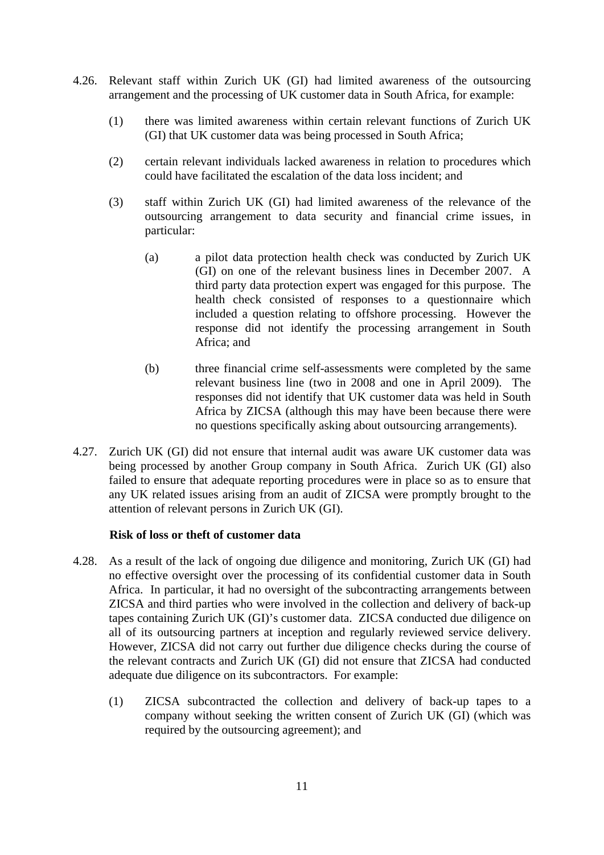- 4.26. Relevant staff within Zurich UK (GI) had limited awareness of the outsourcing arrangement and the processing of UK customer data in South Africa, for example:
	- (1) there was limited awareness within certain relevant functions of Zurich UK (GI) that UK customer data was being processed in South Africa;
	- (2) certain relevant individuals lacked awareness in relation to procedures which could have facilitated the escalation of the data loss incident; and
	- (3) staff within Zurich UK (GI) had limited awareness of the relevance of the outsourcing arrangement to data security and financial crime issues, in particular:
		- (a) a pilot data protection health check was conducted by Zurich UK (GI) on one of the relevant business lines in December 2007. A third party data protection expert was engaged for this purpose. The health check consisted of responses to a questionnaire which included a question relating to offshore processing. However the response did not identify the processing arrangement in South Africa; and
		- (b) three financial crime self-assessments were completed by the same relevant business line (two in 2008 and one in April 2009). The responses did not identify that UK customer data was held in South Africa by ZICSA (although this may have been because there were no questions specifically asking about outsourcing arrangements).
- 4.27. Zurich UK (GI) did not ensure that internal audit was aware UK customer data was being processed by another Group company in South Africa. Zurich UK (GI) also failed to ensure that adequate reporting procedures were in place so as to ensure that any UK related issues arising from an audit of ZICSA were promptly brought to the attention of relevant persons in Zurich UK (GI).

#### **Risk of loss or theft of customer data**

- 4.28. As a result of the lack of ongoing due diligence and monitoring, Zurich UK (GI) had no effective oversight over the processing of its confidential customer data in South Africa. In particular, it had no oversight of the subcontracting arrangements between ZICSA and third parties who were involved in the collection and delivery of back-up tapes containing Zurich UK (GI)'s customer data. ZICSA conducted due diligence on all of its outsourcing partners at inception and regularly reviewed service delivery. However, ZICSA did not carry out further due diligence checks during the course of the relevant contracts and Zurich UK (GI) did not ensure that ZICSA had conducted adequate due diligence on its subcontractors. For example:
	- (1) ZICSA subcontracted the collection and delivery of back-up tapes to a company without seeking the written consent of Zurich UK (GI) (which was required by the outsourcing agreement); and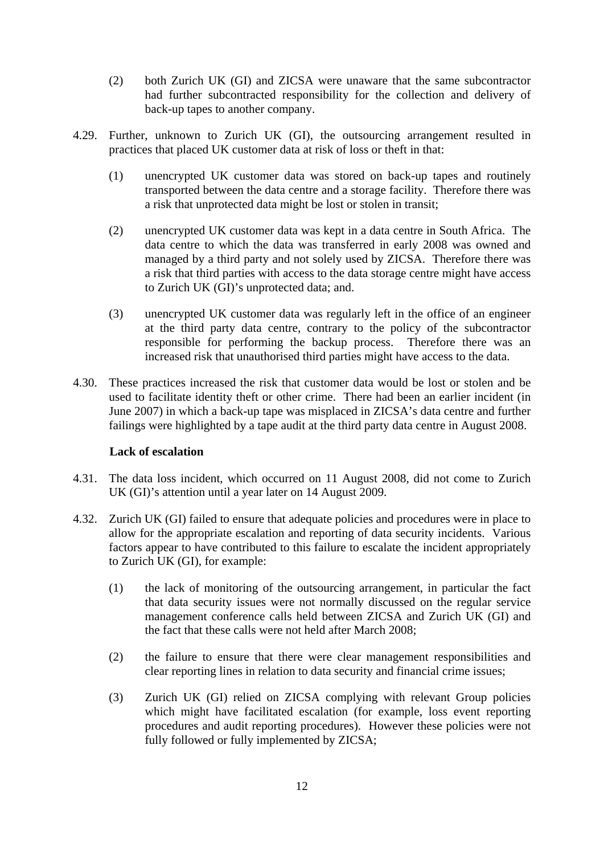- (2) both Zurich UK (GI) and ZICSA were unaware that the same subcontractor had further subcontracted responsibility for the collection and delivery of back-up tapes to another company.
- 4.29. Further, unknown to Zurich UK (GI), the outsourcing arrangement resulted in practices that placed UK customer data at risk of loss or theft in that:
	- (1) unencrypted UK customer data was stored on back-up tapes and routinely transported between the data centre and a storage facility. Therefore there was a risk that unprotected data might be lost or stolen in transit;
	- (2) unencrypted UK customer data was kept in a data centre in South Africa. The data centre to which the data was transferred in early 2008 was owned and managed by a third party and not solely used by ZICSA. Therefore there was a risk that third parties with access to the data storage centre might have access to Zurich UK (GI)'s unprotected data; and.
	- (3) unencrypted UK customer data was regularly left in the office of an engineer at the third party data centre, contrary to the policy of the subcontractor responsible for performing the backup process. Therefore there was an increased risk that unauthorised third parties might have access to the data.
- 4.30. These practices increased the risk that customer data would be lost or stolen and be used to facilitate identity theft or other crime. There had been an earlier incident (in June 2007) in which a back-up tape was misplaced in ZICSA's data centre and further failings were highlighted by a tape audit at the third party data centre in August 2008.

#### **Lack of escalation**

- 4.31. The data loss incident, which occurred on 11 August 2008, did not come to Zurich UK (GI)'s attention until a year later on 14 August 2009.
- 4.32. Zurich UK (GI) failed to ensure that adequate policies and procedures were in place to allow for the appropriate escalation and reporting of data security incidents. Various factors appear to have contributed to this failure to escalate the incident appropriately to Zurich UK (GI), for example:
	- (1) the lack of monitoring of the outsourcing arrangement, in particular the fact that data security issues were not normally discussed on the regular service management conference calls held between ZICSA and Zurich UK (GI) and the fact that these calls were not held after March 2008;
	- (2) the failure to ensure that there were clear management responsibilities and clear reporting lines in relation to data security and financial crime issues;
	- (3) Zurich UK (GI) relied on ZICSA complying with relevant Group policies which might have facilitated escalation (for example, loss event reporting procedures and audit reporting procedures). However these policies were not fully followed or fully implemented by ZICSA;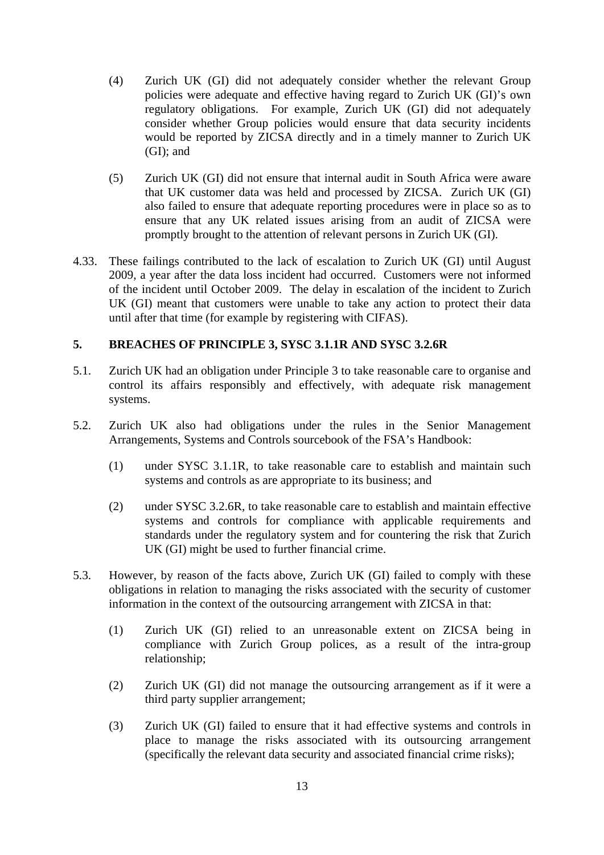- (4) Zurich UK (GI) did not adequately consider whether the relevant Group policies were adequate and effective having regard to Zurich UK (GI)'s own regulatory obligations. For example, Zurich UK (GI) did not adequately consider whether Group policies would ensure that data security incidents would be reported by ZICSA directly and in a timely manner to Zurich UK (GI); and
- (5) Zurich UK (GI) did not ensure that internal audit in South Africa were aware that UK customer data was held and processed by ZICSA. Zurich UK (GI) also failed to ensure that adequate reporting procedures were in place so as to ensure that any UK related issues arising from an audit of ZICSA were promptly brought to the attention of relevant persons in Zurich UK (GI).
- 4.33. These failings contributed to the lack of escalation to Zurich UK (GI) until August 2009, a year after the data loss incident had occurred. Customers were not informed of the incident until October 2009. The delay in escalation of the incident to Zurich UK (GI) meant that customers were unable to take any action to protect their data until after that time (for example by registering with CIFAS).

#### **5. BREACHES OF PRINCIPLE 3, SYSC 3.1.1R AND SYSC 3.2.6R**

- 5.1. Zurich UK had an obligation under Principle 3 to take reasonable care to organise and control its affairs responsibly and effectively, with adequate risk management systems.
- 5.2. Zurich UK also had obligations under the rules in the Senior Management Arrangements, Systems and Controls sourcebook of the FSA's Handbook:
	- (1) under SYSC 3.1.1R, to take reasonable care to establish and maintain such systems and controls as are appropriate to its business; and
	- (2) under SYSC 3.2.6R, to take reasonable care to establish and maintain effective systems and controls for compliance with applicable requirements and standards under the regulatory system and for countering the risk that Zurich UK (GI) might be used to further financial crime.
- 5.3. However, by reason of the facts above, Zurich UK (GI) failed to comply with these obligations in relation to managing the risks associated with the security of customer information in the context of the outsourcing arrangement with ZICSA in that:
	- (1) Zurich UK (GI) relied to an unreasonable extent on ZICSA being in compliance with Zurich Group polices, as a result of the intra-group relationship;
	- (2) Zurich UK (GI) did not manage the outsourcing arrangement as if it were a third party supplier arrangement;
	- (3) Zurich UK (GI) failed to ensure that it had effective systems and controls in place to manage the risks associated with its outsourcing arrangement (specifically the relevant data security and associated financial crime risks);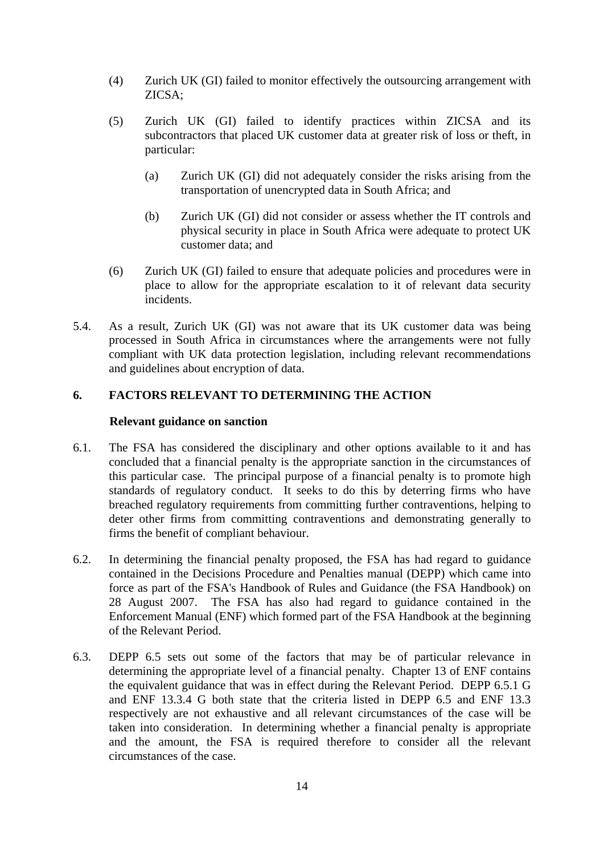- (4) Zurich UK (GI) failed to monitor effectively the outsourcing arrangement with ZICSA;
- (5) Zurich UK (GI) failed to identify practices within ZICSA and its subcontractors that placed UK customer data at greater risk of loss or theft, in particular:
	- (a) Zurich UK (GI) did not adequately consider the risks arising from the transportation of unencrypted data in South Africa; and
	- (b) Zurich UK (GI) did not consider or assess whether the IT controls and physical security in place in South Africa were adequate to protect UK customer data; and
- (6) Zurich UK (GI) failed to ensure that adequate policies and procedures were in place to allow for the appropriate escalation to it of relevant data security incidents.
- 5.4. As a result, Zurich UK (GI) was not aware that its UK customer data was being processed in South Africa in circumstances where the arrangements were not fully compliant with UK data protection legislation, including relevant recommendations and guidelines about encryption of data.

## **6. FACTORS RELEVANT TO DETERMINING THE ACTION**

#### **Relevant guidance on sanction**

- 6.1. The FSA has considered the disciplinary and other options available to it and has concluded that a financial penalty is the appropriate sanction in the circumstances of this particular case. The principal purpose of a financial penalty is to promote high standards of regulatory conduct. It seeks to do this by deterring firms who have breached regulatory requirements from committing further contraventions, helping to deter other firms from committing contraventions and demonstrating generally to firms the benefit of compliant behaviour.
- 6.2. In determining the financial penalty proposed, the FSA has had regard to guidance contained in the Decisions Procedure and Penalties manual (DEPP) which came into force as part of the FSA's Handbook of Rules and Guidance (the FSA Handbook) on 28 August 2007. The FSA has also had regard to guidance contained in the Enforcement Manual (ENF) which formed part of the FSA Handbook at the beginning of the Relevant Period.
- 6.3. DEPP 6.5 sets out some of the factors that may be of particular relevance in determining the appropriate level of a financial penalty. Chapter 13 of ENF contains the equivalent guidance that was in effect during the Relevant Period. DEPP 6.5.1 G and ENF 13.3.4 G both state that the criteria listed in DEPP 6.5 and ENF 13.3 respectively are not exhaustive and all relevant circumstances of the case will be taken into consideration. In determining whether a financial penalty is appropriate and the amount, the FSA is required therefore to consider all the relevant circumstances of the case.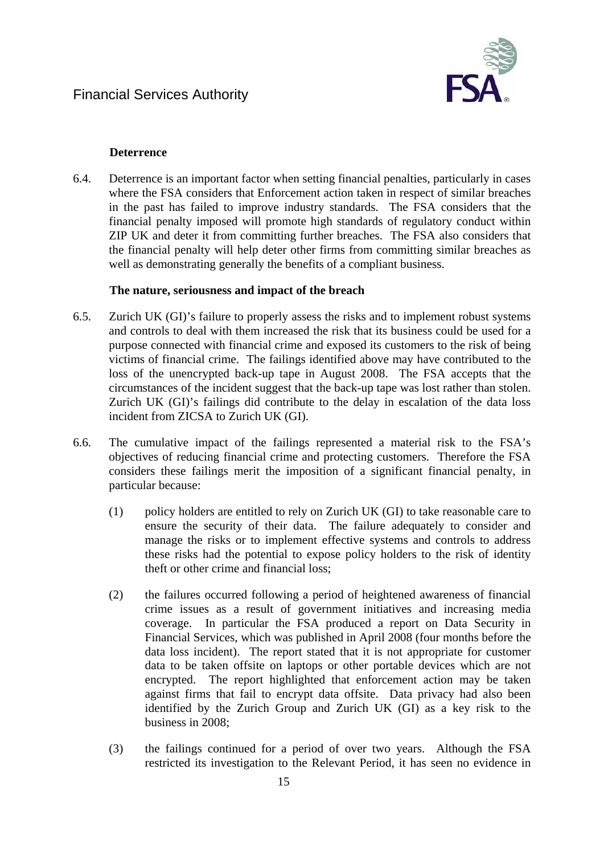

# **Deterrence**

6.4. Deterrence is an important factor when setting financial penalties, particularly in cases where the FSA considers that Enforcement action taken in respect of similar breaches in the past has failed to improve industry standards. The FSA considers that the financial penalty imposed will promote high standards of regulatory conduct within ZIP UK and deter it from committing further breaches. The FSA also considers that the financial penalty will help deter other firms from committing similar breaches as well as demonstrating generally the benefits of a compliant business.

## **The nature, seriousness and impact of the breach**

- 6.5. Zurich UK (GI)'s failure to properly assess the risks and to implement robust systems and controls to deal with them increased the risk that its business could be used for a purpose connected with financial crime and exposed its customers to the risk of being victims of financial crime. The failings identified above may have contributed to the loss of the unencrypted back-up tape in August 2008. The FSA accepts that the circumstances of the incident suggest that the back-up tape was lost rather than stolen. Zurich UK (GI)'s failings did contribute to the delay in escalation of the data loss incident from ZICSA to Zurich UK (GI).
- 6.6. The cumulative impact of the failings represented a material risk to the FSA's objectives of reducing financial crime and protecting customers. Therefore the FSA considers these failings merit the imposition of a significant financial penalty, in particular because:
	- (1) policy holders are entitled to rely on Zurich UK (GI) to take reasonable care to ensure the security of their data. The failure adequately to consider and manage the risks or to implement effective systems and controls to address these risks had the potential to expose policy holders to the risk of identity theft or other crime and financial loss;
	- (2) the failures occurred following a period of heightened awareness of financial crime issues as a result of government initiatives and increasing media coverage. In particular the FSA produced a report on Data Security in Financial Services, which was published in April 2008 (four months before the data loss incident). The report stated that it is not appropriate for customer data to be taken offsite on laptops or other portable devices which are not encrypted. The report highlighted that enforcement action may be taken against firms that fail to encrypt data offsite. Data privacy had also been identified by the Zurich Group and Zurich UK (GI) as a key risk to the business in 2008;
	- (3) the failings continued for a period of over two years. Although the FSA restricted its investigation to the Relevant Period, it has seen no evidence in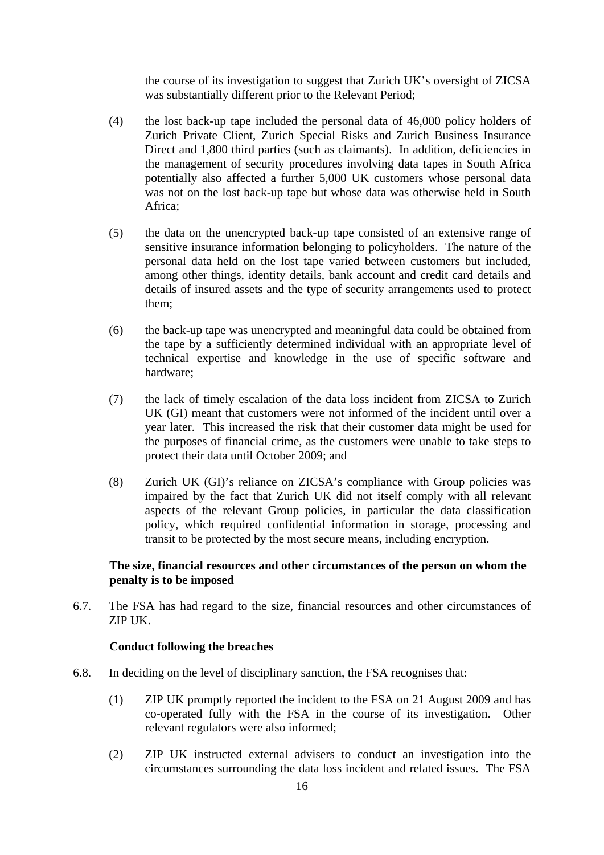the course of its investigation to suggest that Zurich UK's oversight of ZICSA was substantially different prior to the Relevant Period;

- (4) the lost back-up tape included the personal data of 46,000 policy holders of Zurich Private Client, Zurich Special Risks and Zurich Business Insurance Direct and 1,800 third parties (such as claimants). In addition, deficiencies in the management of security procedures involving data tapes in South Africa potentially also affected a further 5,000 UK customers whose personal data was not on the lost back-up tape but whose data was otherwise held in South Africa;
- (5) the data on the unencrypted back-up tape consisted of an extensive range of sensitive insurance information belonging to policyholders. The nature of the personal data held on the lost tape varied between customers but included, among other things, identity details, bank account and credit card details and details of insured assets and the type of security arrangements used to protect them;
- (6) the back-up tape was unencrypted and meaningful data could be obtained from the tape by a sufficiently determined individual with an appropriate level of technical expertise and knowledge in the use of specific software and hardware;
- (7) the lack of timely escalation of the data loss incident from ZICSA to Zurich UK (GI) meant that customers were not informed of the incident until over a year later. This increased the risk that their customer data might be used for the purposes of financial crime, as the customers were unable to take steps to protect their data until October 2009; and
- (8) Zurich UK (GI)'s reliance on ZICSA's compliance with Group policies was impaired by the fact that Zurich UK did not itself comply with all relevant aspects of the relevant Group policies, in particular the data classification policy, which required confidential information in storage, processing and transit to be protected by the most secure means, including encryption.

# **The size, financial resources and other circumstances of the person on whom the penalty is to be imposed**

6.7. The FSA has had regard to the size, financial resources and other circumstances of ZIP UK.

#### **Conduct following the breaches**

- 6.8. In deciding on the level of disciplinary sanction, the FSA recognises that:
	- (1) ZIP UK promptly reported the incident to the FSA on 21 August 2009 and has co-operated fully with the FSA in the course of its investigation. Other relevant regulators were also informed;
	- (2) ZIP UK instructed external advisers to conduct an investigation into the circumstances surrounding the data loss incident and related issues. The FSA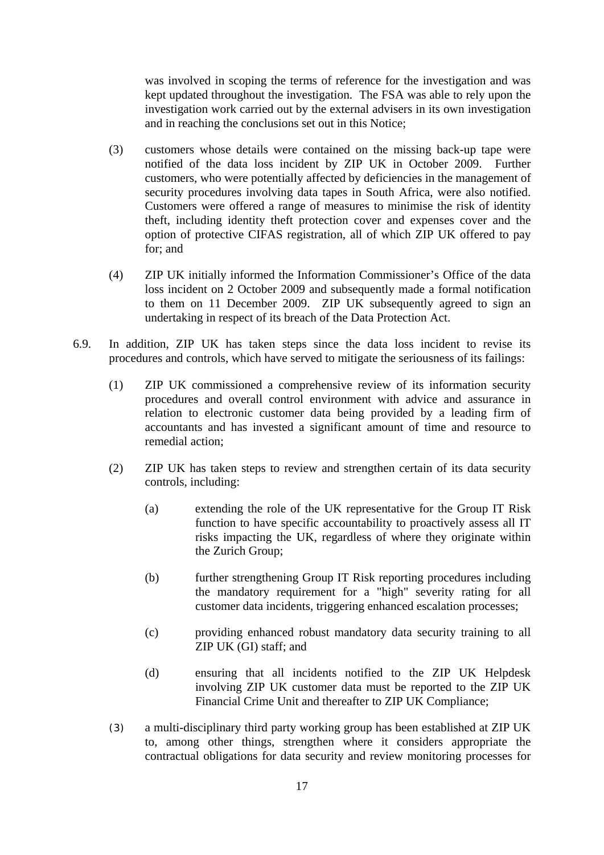was involved in scoping the terms of reference for the investigation and was kept updated throughout the investigation. The FSA was able to rely upon the investigation work carried out by the external advisers in its own investigation and in reaching the conclusions set out in this Notice;

- (3) customers whose details were contained on the missing back-up tape were notified of the data loss incident by ZIP UK in October 2009. Further customers, who were potentially affected by deficiencies in the management of security procedures involving data tapes in South Africa, were also notified. Customers were offered a range of measures to minimise the risk of identity theft, including identity theft protection cover and expenses cover and the option of protective CIFAS registration, all of which ZIP UK offered to pay for; and
- (4) ZIP UK initially informed the Information Commissioner's Office of the data loss incident on 2 October 2009 and subsequently made a formal notification to them on 11 December 2009. ZIP UK subsequently agreed to sign an undertaking in respect of its breach of the Data Protection Act.
- <span id="page-16-0"></span>6.9. In addition, ZIP UK has taken steps since the data loss incident to revise its procedures and controls, which have served to mitigate the seriousness of its failings:
	- (1) ZIP UK commissioned a comprehensive review of its information security procedures and overall control environment with advice and assurance in relation to electronic customer data being provided by a leading firm of accountants and has invested a significant amount of time and resource to remedial action;
	- (2) ZIP UK has taken steps to review and strengthen certain of its data security controls, including:
		- (a) extending the role of the UK representative for the Group IT Risk function to have specific accountability to proactively assess all IT risks impacting the UK, regardless of where they originate within the Zurich Group;
		- (b) further strengthening Group IT Risk reporting procedures including the mandatory requirement for a "high" severity rating for all customer data incidents, triggering enhanced escalation processes;
		- (c) providing enhanced robust mandatory data security training to all ZIP UK (GI) staff; and
		- (d) ensuring that all incidents notified to the ZIP UK Helpdesk involving ZIP UK customer data must be reported to the ZIP UK Financial Crime Unit and thereafter to ZIP UK Compliance;
	- (3) a multi-disciplinary third party working group has been established at ZIP UK to, among other things, strengthen where it considers appropriate the contractual obligations for data security and review monitoring processes for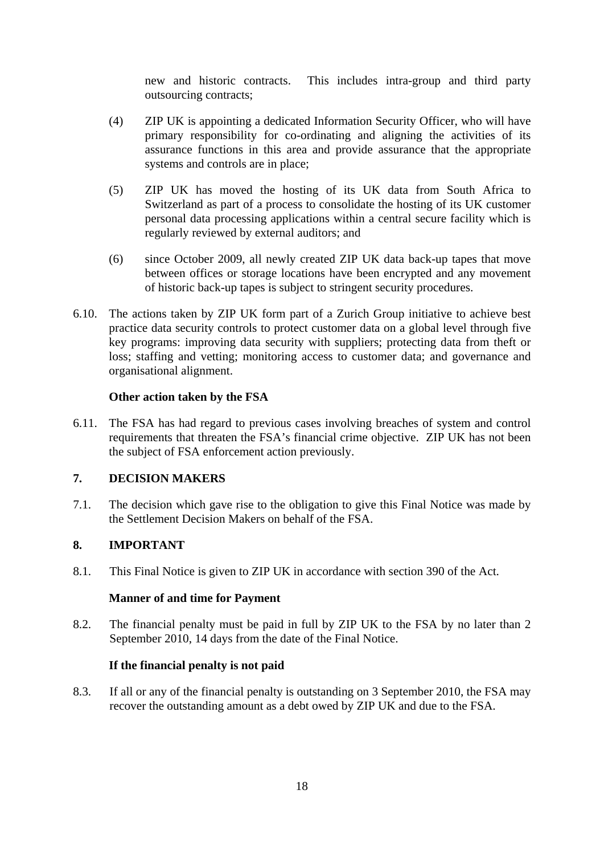new and historic contracts. This includes intra-group and third party outsourcing contracts;

- (4) ZIP UK is appointing a dedicated Information Security Officer, who will have primary responsibility for co-ordinating and aligning the activities of its assurance functions in this area and provide assurance that the appropriate systems and controls are in place;
- (5) ZIP UK has moved the hosting of its UK data from South Africa to Switzerland as part of a process to consolidate the hosting of its UK customer personal data processing applications within a central secure facility which is regularly reviewed by external auditors; and
- (6) since October 2009, all newly created ZIP UK data back-up tapes that move between offices or storage locations have been encrypted and any movement of historic back-up tapes is subject to stringent security procedures.
- <span id="page-17-0"></span>6.10. The actions taken by ZIP UK form part of a Zurich Group initiative to achieve best practice data security controls to protect customer data on a global level through five key programs: improving data security with suppliers; protecting data from theft or loss; staffing and vetting; monitoring access to customer data; and governance and organisational alignment.

## **Other action taken by the FSA**

6.11. The FSA has had regard to previous cases involving breaches of system and control requirements that threaten the FSA's financial crime objective. ZIP UK has not been the subject of FSA enforcement action previously.

# **7. DECISION MAKERS**

7.1. The decision which gave rise to the obligation to give this Final Notice was made by the Settlement Decision Makers on behalf of the FSA.

# **8. IMPORTANT**

8.1. This Final Notice is given to ZIP UK in accordance with section 390 of the Act.

#### **Manner of and time for Payment**

8.2. The financial penalty must be paid in full by ZIP UK to the FSA by no later than 2 September 2010, 14 days from the date of the Final Notice.

#### **If the financial penalty is not paid**

8.3. If all or any of the financial penalty is outstanding on 3 September 2010, the FSA may recover the outstanding amount as a debt owed by ZIP UK and due to the FSA.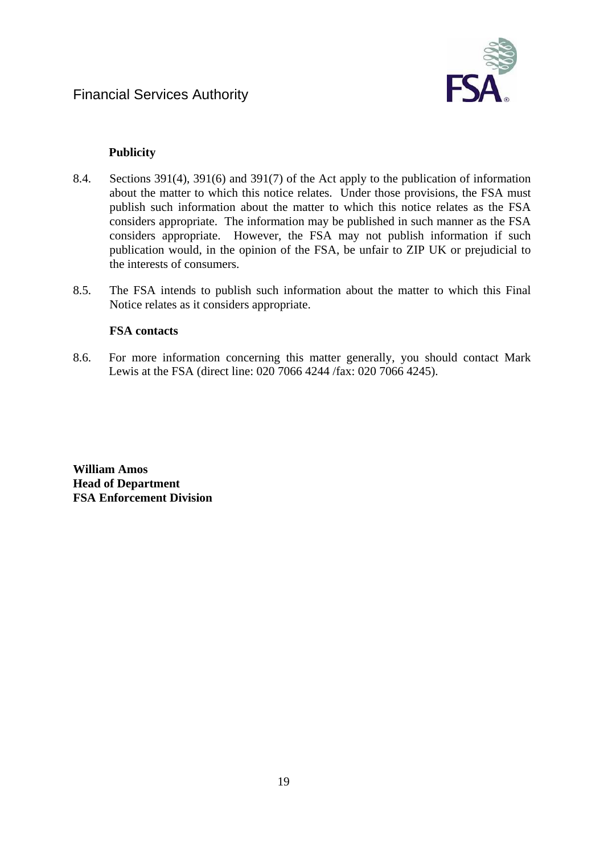

# **Publicity**

- 8.4. Sections 391(4), 391(6) and 391(7) of the Act apply to the publication of information about the matter to which this notice relates. Under those provisions, the FSA must publish such information about the matter to which this notice relates as the FSA considers appropriate. The information may be published in such manner as the FSA considers appropriate. However, the FSA may not publish information if such publication would, in the opinion of the FSA, be unfair to ZIP UK or prejudicial to the interests of consumers.
- 8.5. The FSA intends to publish such information about the matter to which this Final Notice relates as it considers appropriate.

## **FSA contacts**

8.6. For more information concerning this matter generally, you should contact Mark Lewis at the FSA (direct line: 020 7066 4244 /fax: 020 7066 4245).

**William Amos Head of Department FSA Enforcement Division**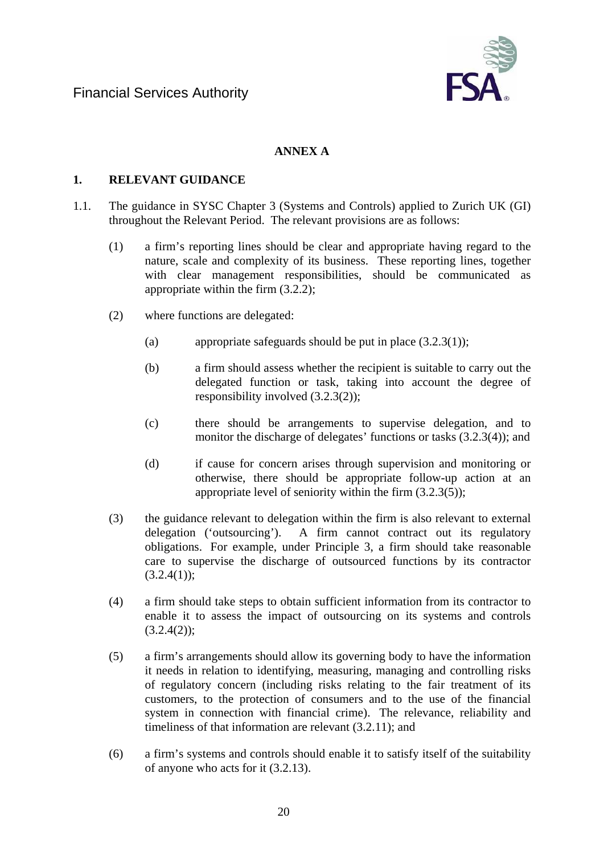

# **ANNEX A**

# **1. RELEVANT GUIDANCE**

- 1.1. The guidance in SYSC Chapter 3 (Systems and Controls) applied to Zurich UK (GI) throughout the Relevant Period. The relevant provisions are as follows:
	- (1) a firm's reporting lines should be clear and appropriate having regard to the nature, scale and complexity of its business. These reporting lines, together with clear management responsibilities, should be communicated as appropriate within the firm (3.2.2);
	- (2) where functions are delegated:
		- (a) appropriate safeguards should be put in place (3.2.3(1));
		- (b) a firm should assess whether the recipient is suitable to carry out the delegated function or task, taking into account the degree of responsibility involved (3.2.3(2));
		- (c) there should be arrangements to supervise delegation, and to monitor the discharge of delegates' functions or tasks (3.2.3(4)); and
		- (d) if cause for concern arises through supervision and monitoring or otherwise, there should be appropriate follow-up action at an appropriate level of seniority within the firm (3.2.3(5));
	- (3) the guidance relevant to delegation within the firm is also relevant to external delegation ('outsourcing'). A firm cannot contract out its regulatory obligations. For example, under Principle 3, a firm should take reasonable care to supervise the discharge of outsourced functions by its contractor  $(3.2.4(1))$ ;
	- (4) a firm should take steps to obtain sufficient information from its contractor to enable it to assess the impact of outsourcing on its systems and controls  $(3.2.4(2))$ ;
	- (5) a firm's arrangements should allow its governing body to have the information it needs in relation to identifying, measuring, managing and controlling risks of regulatory concern (including risks relating to the fair treatment of its customers, to the protection of consumers and to the use of the financial system in connection with financial crime). The relevance, reliability and timeliness of that information are relevant (3.2.11); and
	- (6) a firm's systems and controls should enable it to satisfy itself of the suitability of anyone who acts for it (3.2.13).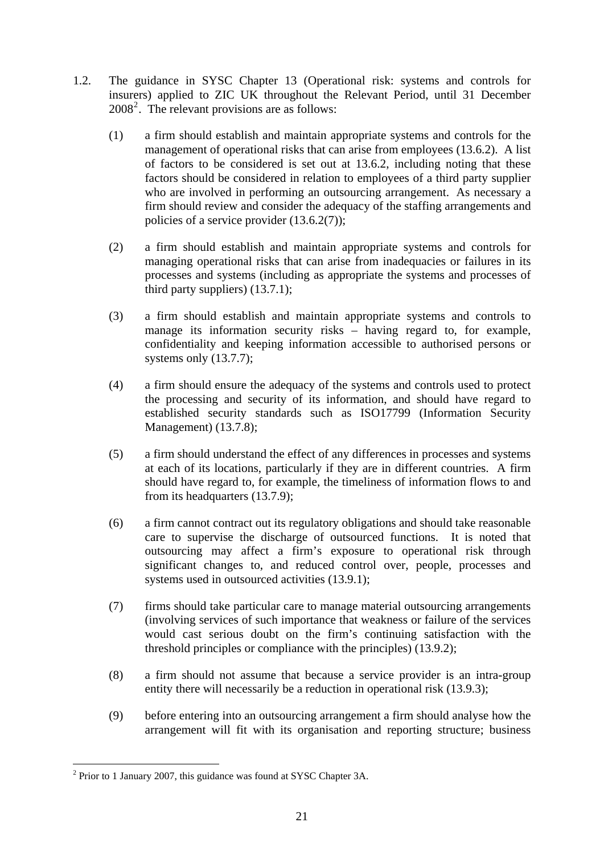- 1.2. The guidance in SYSC Chapter 13 (Operational risk: systems and controls for insurers) applied to ZIC UK throughout the Relevant Period, until 31 December [2](#page-20-0)008<sup>2</sup>. The relevant provisions are as follows:
	- (1) a firm should establish and maintain appropriate systems and controls for the management of operational risks that can arise from employees (13.6.2). A list of factors to be considered is set out at 13.6.2, including noting that these factors should be considered in relation to employees of a third party supplier who are involved in performing an outsourcing arrangement. As necessary a firm should review and consider the adequacy of the staffing arrangements and policies of a service provider (13.6.2(7));
	- (2) a firm should establish and maintain appropriate systems and controls for managing operational risks that can arise from inadequacies or failures in its processes and systems (including as appropriate the systems and processes of third party suppliers) (13.7.1);
	- (3) a firm should establish and maintain appropriate systems and controls to manage its information security risks – having regard to, for example, confidentiality and keeping information accessible to authorised persons or systems only (13.7.7);
	- (4) a firm should ensure the adequacy of the systems and controls used to protect the processing and security of its information, and should have regard to established security standards such as ISO17799 (Information Security Management) (13.7.8);
	- (5) a firm should understand the effect of any differences in processes and systems at each of its locations, particularly if they are in different countries. A firm should have regard to, for example, the timeliness of information flows to and from its headquarters (13.7.9);
	- (6) a firm cannot contract out its regulatory obligations and should take reasonable care to supervise the discharge of outsourced functions. It is noted that outsourcing may affect a firm's exposure to operational risk through significant changes to, and reduced control over, people, processes and systems used in outsourced activities  $(13.9.1)$ ;
	- (7) firms should take particular care to manage material outsourcing arrangements (involving services of such importance that weakness or failure of the services would cast serious doubt on the firm's continuing satisfaction with the threshold principles or compliance with the principles) (13.9.2);
	- (8) a firm should not assume that because a service provider is an intra-group entity there will necessarily be a reduction in operational risk (13.9.3);
	- (9) before entering into an outsourcing arrangement a firm should analyse how the arrangement will fit with its organisation and reporting structure; business

1

<span id="page-20-0"></span><sup>&</sup>lt;sup>2</sup> Prior to 1 January 2007, this guidance was found at SYSC Chapter 3A.